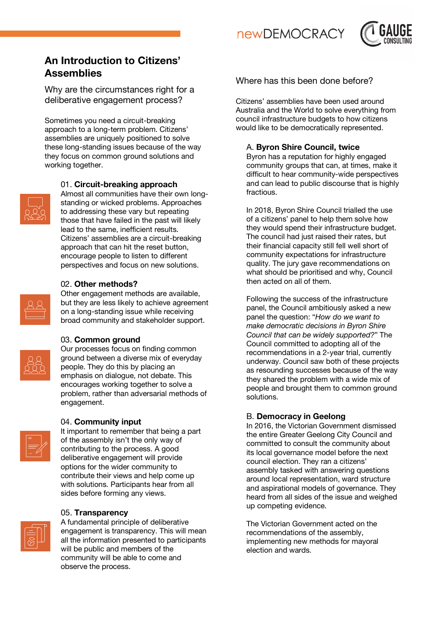**newDEMOCRACY** 



# **An Introduction to Citizens' Assemblies**

Why are the circumstances right for a deliberative engagement process?

Sometimes you need a circuit-breaking approach to a long-term problem. Citizens' assemblies are uniquely positioned to solve these long-standing issues because of the way they focus on common ground solutions and working together.



# 01. **Circuit-breaking approach**

Almost all communities have their own longstanding or wicked problems. Approaches to addressing these vary but repeating those that have failed in the past will likely lead to the same, inefficient results. Citizens' assemblies are a circuit-breaking approach that can hit the reset button, encourage people to listen to different perspectives and focus on new solutions.

## 02. **Other methods?**

Other engagement methods are available, but they are less likely to achieve agreement on a long-standing issue while receiving broad community and stakeholder support.

#### 03. **Common ground**

Our processes focus on finding common ground between a diverse mix of everyday people. They do this by placing an emphasis on dialogue, not debate. This encourages working together to solve a problem, rather than adversarial methods of engagement.

# 04. **Community input**



It important to remember that being a part of the assembly isn't the only way of contributing to the process. A good deliberative engagement will provide options for the wider community to contribute their views and help come up with solutions. Participants hear from all sides before forming any views.

# 05. **Transparency**



A fundamental principle of deliberative engagement is transparency. This will mean all the information presented to participants will be public and members of the community will be able to come and observe the process.

# Where has this been done before?

Citizens' assemblies have been used around Australia and the World to solve everything from council infrastructure budgets to how citizens would like to be democratically represented.

# A. **Byron Shire Council, twice**

Byron has a reputation for highly engaged community groups that can, at times, make it difficult to hear community-wide perspectives and can lead to public discourse that is highly fractious.

In 2018, Byron Shire Council trialled the use of a citizens' panel to help them solve how they would spend their infrastructure budget. The council had just raised their rates, but their financial capacity still fell well short of community expectations for infrastructure quality. The jury gave recommendations on what should be prioritised and why, Council then acted on all of them.

Following the success of the infrastructure panel, the Council ambitiously asked a new panel the question: "*How do we want to make democratic decisions in Byron Shire Council that can be widely supported?*" The Council committed to adopting all of the recommendations in a 2-year trial, currently underway. Council saw both of these projects as resounding successes because of the way they shared the problem with a wide mix of people and brought them to common ground solutions.

# B. **Democracy in Geelong**

In 2016, the Victorian Government dismissed the entire Greater Geelong City Council and committed to consult the community about its local governance model before the next council election. They ran a citizens' assembly tasked with answering questions around local representation, ward structure and aspirational models of governance. They heard from all sides of the issue and weighed up competing evidence.

The Victorian Government acted on the recommendations of the assembly, implementing new methods for mayoral election and wards.